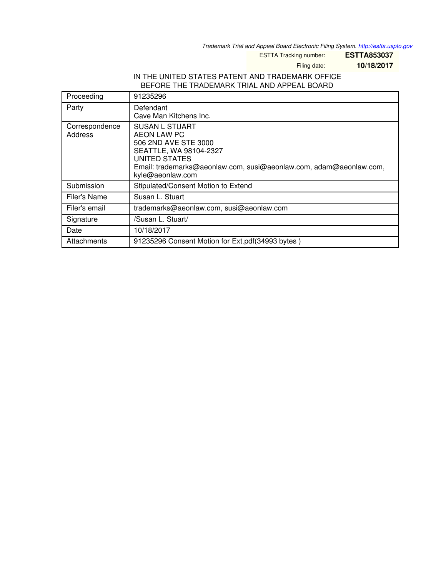*Trademark Trial and Appeal Board Electronic Filing System. <http://estta.uspto.gov>*

ESTTA Tracking number: **ESTTA853037**

Filing date: **10/18/2017**

## IN THE UNITED STATES PATENT AND TRADEMARK OFFICE BEFORE THE TRADEMARK TRIAL AND APPEAL BOARD

| Proceeding                | 91235296                                                                                                                                                                                                        |
|---------------------------|-----------------------------------------------------------------------------------------------------------------------------------------------------------------------------------------------------------------|
| Party                     | Defendant<br>Cave Man Kitchens Inc.                                                                                                                                                                             |
| Correspondence<br>Address | <b>SUSAN L STUART</b><br><b>AEON LAW PC</b><br>506 2ND AVE STE 3000<br>SEATTLE, WA 98104-2327<br><b>UNITED STATES</b><br>Email: trademarks@aeonlaw.com, susi@aeonlaw.com, adam@aeonlaw.com,<br>kyle@aeonlaw.com |
| Submission                | Stipulated/Consent Motion to Extend                                                                                                                                                                             |
| Filer's Name              | Susan L. Stuart                                                                                                                                                                                                 |
| Filer's email             | trademarks@aeonlaw.com, susi@aeonlaw.com                                                                                                                                                                        |
| Signature                 | /Susan L. Stuart/                                                                                                                                                                                               |
| Date                      | 10/18/2017                                                                                                                                                                                                      |
| Attachments               | 91235296 Consent Motion for Ext.pdf(34993 bytes)                                                                                                                                                                |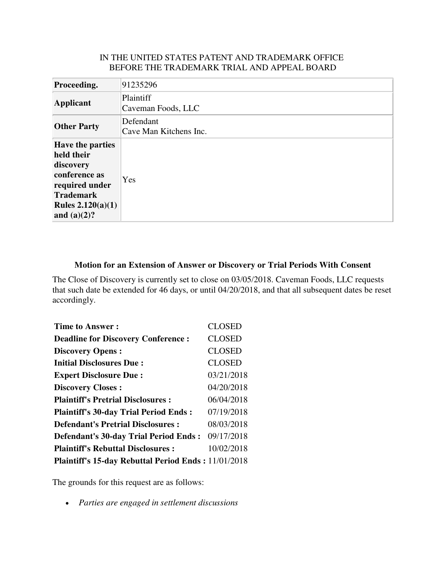## IN THE UNITED STATES PATENT AND TRADEMARK OFFICE BEFORE THE TRADEMARK TRIAL AND APPEAL BOARD

| Proceeding.                                                                                                                                            | 91235296                            |
|--------------------------------------------------------------------------------------------------------------------------------------------------------|-------------------------------------|
| Applicant                                                                                                                                              | Plaintiff<br>Caveman Foods, LLC     |
| <b>Other Party</b>                                                                                                                                     | Defendant<br>Cave Man Kitchens Inc. |
| <b>Have the parties</b><br>held their<br>discovery<br>conference as<br>required under<br><b>Trademark</b><br><b>Rules 2.120(a)(1)</b><br>and $(a)(2)?$ | Yes                                 |

## **Motion for an Extension of Answer or Discovery or Trial Periods With Consent**

The Close of Discovery is currently set to close on 03/05/2018. Caveman Foods, LLC requests that such date be extended for 46 days, or until 04/20/2018, and that all subsequent dates be reset accordingly.

| <b>Time to Answer:</b>                                     | <b>CLOSED</b> |
|------------------------------------------------------------|---------------|
| <b>Deadline for Discovery Conference:</b>                  | <b>CLOSED</b> |
| <b>Discovery Opens:</b>                                    | <b>CLOSED</b> |
| <b>Initial Disclosures Due:</b>                            | <b>CLOSED</b> |
| <b>Expert Disclosure Due:</b>                              | 03/21/2018    |
| <b>Discovery Closes:</b>                                   | 04/20/2018    |
| <b>Plaintiff's Pretrial Disclosures:</b>                   | 06/04/2018    |
| <b>Plaintiff's 30-day Trial Period Ends:</b>               | 07/19/2018    |
| <b>Defendant's Pretrial Disclosures:</b>                   | 08/03/2018    |
| <b>Defendant's 30-day Trial Period Ends:</b>               | 09/17/2018    |
| <b>Plaintiff's Rebuttal Disclosures:</b>                   | 10/02/2018    |
| <b>Plaintiff's 15-day Rebuttal Period Ends: 11/01/2018</b> |               |

The grounds for this request are as follows:

• *Parties are engaged in settlement discussions*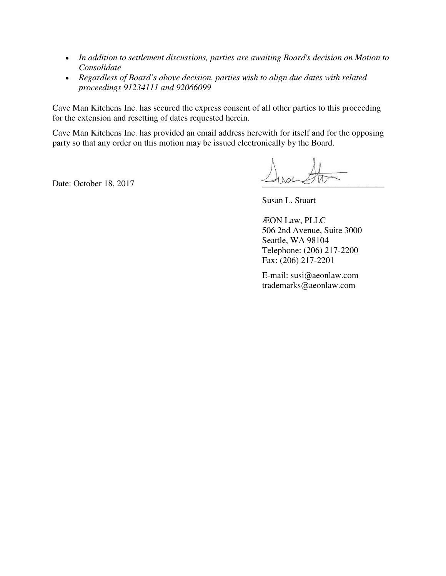- *In addition to settlement discussions, parties are awaiting Board's decision on Motion to Consolidate*
- *Regardless of Board's above decision, parties wish to align due dates with related proceedings 91234111 and 92066099*

Cave Man Kitchens Inc. has secured the express consent of all other parties to this proceeding for the extension and resetting of dates requested herein.

Cave Man Kitchens Inc. has provided an email address herewith for itself and for the opposing party so that any order on this motion may be issued electronically by the Board.

Date: October 18, 2017

Susan L. Stuart

ÆON Law, PLLC 506 2nd Avenue, Suite 3000 Seattle, WA 98104 Telephone: (206) 217-2200 Fax: (206) 217-2201

E-mail: susi@aeonlaw.com trademarks@aeonlaw.com